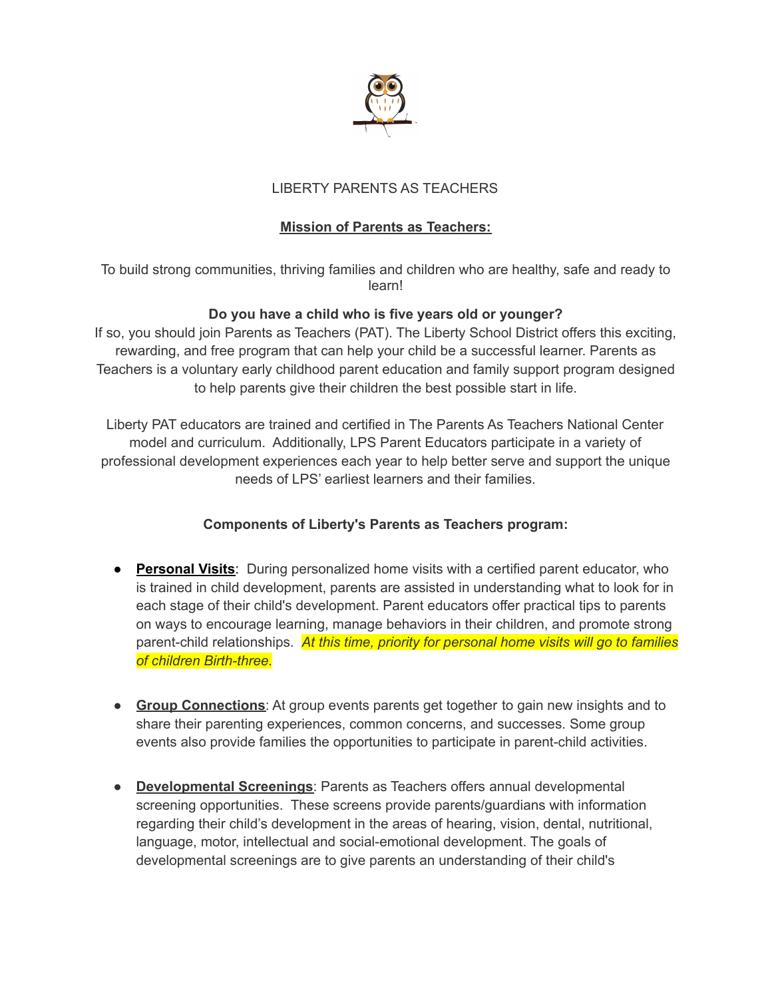

# LIBERTY PARENTS AS TEACHERS

# **Mission of Parents as Teachers:**

To build strong communities, thriving families and children who are healthy, safe and ready to learn!

## **Do you have a child who is five years old or younger?**

If so, you should join Parents as Teachers (PAT). The Liberty School District offers this exciting, rewarding, and free program that can help your child be a successful learner. Parents as Teachers is a voluntary early childhood parent education and family support program designed to help parents give their children the best possible start in life.

Liberty PAT educators are trained and certified in The Parents As Teachers National Center model and curriculum. Additionally, LPS Parent Educators participate in a variety of professional development experiences each year to help better serve and support the unique needs of LPS' earliest learners and their families.

# **Components of Liberty's Parents as Teachers program:**

- **Personal Visits**: During personalized home visits with a certified parent educator, who is trained in child development, parents are assisted in understanding what to look for in each stage of their child's development. Parent educators offer practical tips to parents on ways to encourage learning, manage behaviors in their children, and promote strong parent-child relationships. *At this time, priority for personal home visits will go to families of children Birth-three.*
- **Group Connections**: At group events parents get together to gain new insights and to share their parenting experiences, common concerns, and successes. Some group events also provide families the opportunities to participate in parent-child activities.
- **Developmental Screenings**: Parents as Teachers offers annual developmental screening opportunities. These screens provide parents/guardians with information regarding their child's development in the areas of hearing, vision, dental, nutritional, language, motor, intellectual and social-emotional development. The goals of developmental screenings are to give parents an understanding of their child's